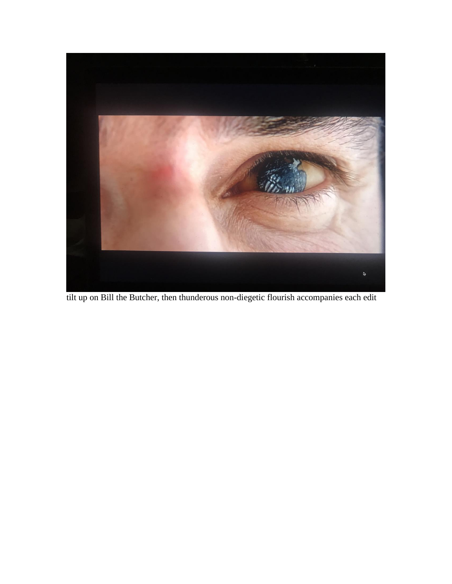

tilt up on Bill the Butcher, then thunderous non-diegetic flourish accompanies each edit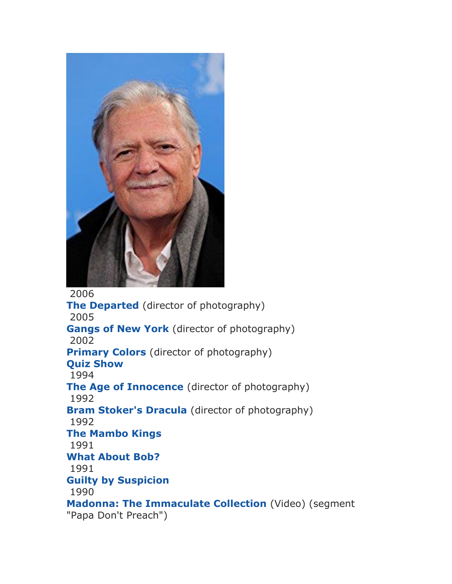

2006 **[The Departed](http://www.imdb.com/title/tt0407887/?ref_=nm_flmg_cin_6)** (director of photography) 2005 **[Gangs of New York](http://www.imdb.com/title/tt0217505/?ref_=nm_flmg_cin_10)** (director of photography) 2002 **[Primary Colors](http://www.imdb.com/title/tt0119942/?ref_=nm_flmg_cin_16)** (director of photography) **[Quiz Show](http://www.imdb.com/title/tt0110932/?ref_=nm_flmg_cin_21)** 1994 **[The Age of Innocence](http://www.imdb.com/title/tt0106226/?ref_=nm_flmg_cin_23)** (director of photography) 1992 **[Bram Stoker's Dracula](http://www.imdb.com/title/tt0103874/?ref_=nm_flmg_cin_24)** (director of photography) 1992 **[The Mambo Kings](http://www.imdb.com/title/tt0104802/?ref_=nm_flmg_cin_25)** 1991 **[What About Bob?](http://www.imdb.com/title/tt0103241/?ref_=nm_flmg_cin_26)** 1991 **[Guilty by Suspicion](http://www.imdb.com/title/tt0101984/?ref_=nm_flmg_cin_27)** 1990 **[Madonna: The Immaculate Collection](http://www.imdb.com/title/tt0500162/?ref_=nm_flmg_cin_28)** (Video) (segment "Papa Don't Preach")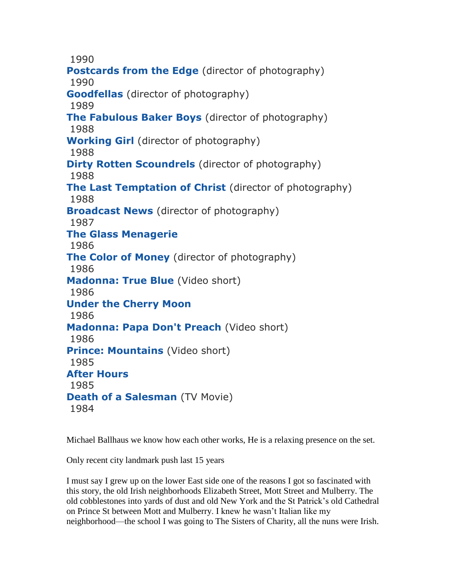1990

**[Postcards from the Edge](http://www.imdb.com/title/tt0100395/?ref_=nm_flmg_cin_29)** (director of photography) 1990 **[Goodfellas](http://www.imdb.com/title/tt0099685/?ref_=nm_flmg_cin_30)** (director of photography) 1989 **[The Fabulous Baker Boys](http://www.imdb.com/title/tt0097322/?ref_=nm_flmg_cin_31)** (director of photography) 1988 **[Working Girl](http://www.imdb.com/title/tt0096463/?ref_=nm_flmg_cin_32)** (director of photography) 1988 **[Dirty Rotten Scoundrels](http://www.imdb.com/title/tt0095031/?ref_=nm_flmg_cin_33)** (director of photography) 1988 **[The Last Temptation of Christ](http://www.imdb.com/title/tt0095497/?ref_=nm_flmg_cin_34)** (director of photography) 1988 **[Broadcast News](http://www.imdb.com/title/tt0092699/?ref_=nm_flmg_cin_37)** (director of photography) 1987 **[The Glass Menagerie](http://www.imdb.com/title/tt0093093/?ref_=nm_flmg_cin_38)** 1986 **[The Color of Money](http://www.imdb.com/title/tt0090863/?ref_=nm_flmg_cin_40)** (director of photography) 1986 **[Madonna: True Blue](http://www.imdb.com/title/tt6672870/?ref_=nm_flmg_cin_41)** (Video short) 1986 **[Under the Cherry Moon](http://www.imdb.com/title/tt0092133/?ref_=nm_flmg_cin_42)** 1986 **[Madonna: Papa Don't Preach](http://www.imdb.com/title/tt6626034/?ref_=nm_flmg_cin_43)** (Video short) 1986 **[Prince: Mountains](http://www.imdb.com/title/tt6988128/?ref_=nm_flmg_cin_44)** (Video short) 1985 **[After Hours](http://www.imdb.com/title/tt0088680/?ref_=nm_flmg_cin_45)** 1985 **[Death of a Salesman](http://www.imdb.com/title/tt0089006/?ref_=nm_flmg_cin_46)** (TV Movie) 1984

Michael Ballhaus we know how each other works, He is a relaxing presence on the set.

Only recent city landmark push last 15 years

I must say I grew up on the lower East side one of the reasons I got so fascinated with this story, the old Irish neighborhoods Elizabeth Street, Mott Street and Mulberry. The old cobblestones into yards of dust and old New York and the St Patrick's old Cathedral on Prince St between Mott and Mulberry. I knew he wasn't Italian like my neighborhood—the school I was going to The Sisters of Charity, all the nuns were Irish.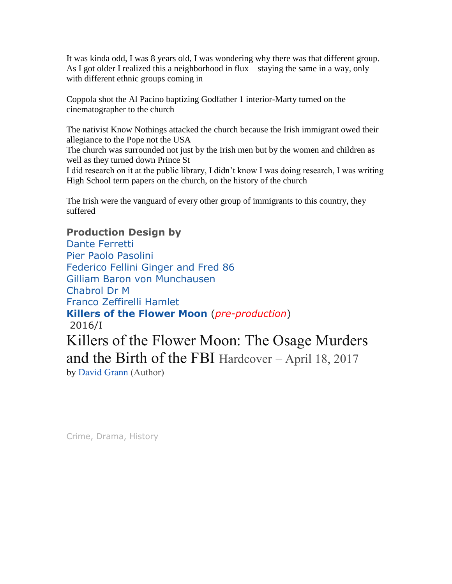It was kinda odd, I was 8 years old, I was wondering why there was that different group. As I got older I realized this a neighborhood in flux—staying the same in a way, only with different ethnic groups coming in

Coppola shot the Al Pacino baptizing Godfather 1 interior-Marty turned on the cinematographer to the church

The nativist Know Nothings attacked the church because the Irish immigrant owed their allegiance to the Pope not the USA

The church was surrounded not just by the Irish men but by the women and children as well as they turned down Prince St

I did research on it at the public library, I didn't know I was doing research, I was writing High School term papers on the church, on the history of the church

The Irish were the vanguard of every other group of immigrants to this country, they suffered

## **Production Design by**

[Dante Ferretti](http://www.imdb.com/name/nm0274721/?ref_=ttfc_fc_cr22) Pier Paolo Pasolini Federico Fellini Ginger and Fred 86 Gilliam Baron von Munchausen Chabrol Dr M Franco Zeffirelli Hamlet **[Killers of the Flower Moon](http://www.imdb.com/title/tt5537002/?ref_=nm_flmg_pdsg_1)** (*[pre-production](http://pro.imdb.com/title/tt5537002?rf=cons_nm_filmo&ref_=cons_nm_filmo)*) 2016/I Killers of the Flower Moon: The Osage Murders and the Birth of the FBI Hardcover – April 18, 2017 by [David Grann](https://www.amazon.com/David-Grann/e/B001YDEZJO/ref=dp_byline_cont_book_1) (Author)

[Crime,](http://www.imdb.com/genre/Crime?ref_=tt_ov_inf) [Drama,](http://www.imdb.com/genre/Drama?ref_=tt_ov_inf) [History](http://www.imdb.com/genre/History?ref_=tt_ov_inf)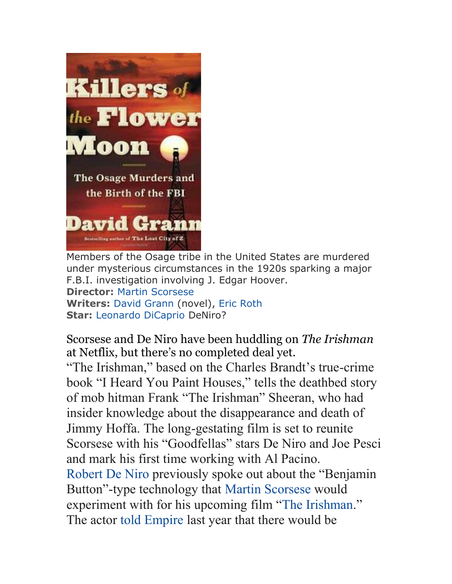

Members of the Osage tribe in the United States are murdered under mysterious circumstances in the 1920s sparking a major F.B.I. investigation involving J. Edgar Hoover. **Director:** [Martin Scorsese](http://www.imdb.com/name/nm0000217?ref_=tt_ov_dr) **Writers:** [David Grann](http://www.imdb.com/name/nm2970418?ref_=tt_ov_wr) (novel), [Eric Roth](http://www.imdb.com/name/nm0744839?ref_=tt_ov_wr) **Star:** [Leonardo DiCaprio](http://www.imdb.com/name/nm0000138?ref_=tt_ov_st_sm) DeNiro?

Scorsese and De Niro have been huddling on *The Irishman* at Netflix, but there's no completed deal yet.

"The Irishman," based on the Charles Brandt's true-crime book "I Heard You Paint Houses," tells the deathbed story of mob hitman Frank "The Irishman" Sheeran, who had insider knowledge about the disappearance and death of Jimmy Hoffa. The long-gestating film is set to reunite Scorsese with his "Goodfellas" stars De Niro and Joe Pesci and mark his first time working with Al Pacino. [Robert De Niro](http://www.indiewire.com/t/robert-de-niro/) previously spoke out about the "Benjamin Button"-type technology that [Martin Scorsese](http://www.indiewire.com/t/martin-scorsese/) would experiment with for his upcoming film "[The Irishman](http://www.indiewire.com/t/the-irishman/)." The actor [told Empire](http://www.indiewire.com/2015/10/robert-de-niro-says-martin-scorsese-experimenting-with-benjamin-button-technology-for-the-irishman-114318/) last year that there would be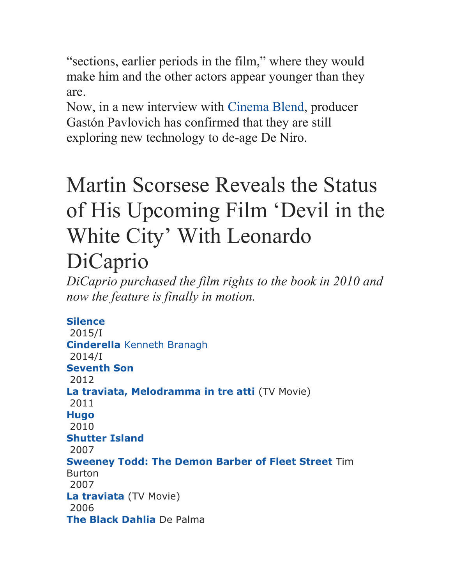"sections, earlier periods in the film," where they would make him and the other actors appear younger than they are.

Now, in a new interview with [Cinema Blend,](http://www.cinemablend.com/news/1601880/the-irishman-wants-to-use-rogue-one-type-cgi-to-de-age-robert-de-niro) producer Gastón Pavlovich has confirmed that they are still exploring new technology to de-age De Niro.

## Martin Scorsese Reveals the Status of His Upcoming Film 'Devil in the White City' With Leonardo

## DiCaprio

*DiCaprio purchased the film rights to the book in 2010 and now the feature is finally in motion.*

## **[Silence](http://www.imdb.com/title/tt0490215/?ref_=nm_flmg_pdsg_2)**

2015/I **[Cinderella](http://www.imdb.com/title/tt1661199/?ref_=nm_flmg_pdsg_3)** Kenneth Branagh 2014/I **[Seventh Son](http://www.imdb.com/title/tt1121096/?ref_=nm_flmg_pdsg_4)** 2012 **[La traviata, Melodramma in tre atti](http://www.imdb.com/title/tt5467442/?ref_=nm_flmg_pdsg_5)** (TV Movie) 2011 **[Hugo](http://www.imdb.com/title/tt0970179/?ref_=nm_flmg_pdsg_6)** 2010 **[Shutter Island](http://www.imdb.com/title/tt1130884/?ref_=nm_flmg_pdsg_7)** 2007 **[Sweeney Todd: The Demon Barber of Fleet Street](http://www.imdb.com/title/tt0408236/?ref_=nm_flmg_pdsg_8)** Tim Burton 2007 **[La traviata](http://www.imdb.com/title/tt2316799/?ref_=nm_flmg_pdsg_9)** (TV Movie) 2006 **[The Black Dahlia](http://www.imdb.com/title/tt0387877/?ref_=nm_flmg_pdsg_10)** De Palma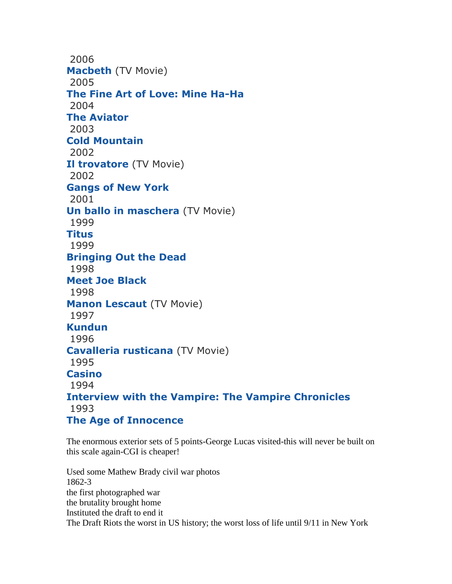2006 **[Macbeth](http://www.imdb.com/title/tt2812244/?ref_=nm_flmg_pdsg_11)** (TV Movie) 2005 **[The Fine Art of Love: Mine Ha-Ha](http://www.imdb.com/title/tt0425186/?ref_=nm_flmg_pdsg_12)** 2004 **[The Aviator](http://www.imdb.com/title/tt0338751/?ref_=nm_flmg_pdsg_13)** 2003 **[Cold Mountain](http://www.imdb.com/title/tt0159365/?ref_=nm_flmg_pdsg_14)** 2002 **[Il trovatore](http://www.imdb.com/title/tt0452060/?ref_=nm_flmg_pdsg_15)** (TV Movie) 2002 **[Gangs of New York](http://www.imdb.com/title/tt0217505/?ref_=nm_flmg_pdsg_16)** 2001 **[Un ballo in maschera](http://www.imdb.com/title/tt0306510/?ref_=nm_flmg_pdsg_17)** (TV Movie) 1999 **[Titus](http://www.imdb.com/title/tt0120866/?ref_=nm_flmg_pdsg_18)** 1999 **[Bringing Out the Dead](http://www.imdb.com/title/tt0163988/?ref_=nm_flmg_pdsg_19)** 1998 **[Meet Joe Black](http://www.imdb.com/title/tt0119643/?ref_=nm_flmg_pdsg_20)** 1998 **[Manon Lescaut](http://www.imdb.com/title/tt0255347/?ref_=nm_flmg_pdsg_21)** (TV Movie) 1997 **[Kundun](http://www.imdb.com/title/tt0119485/?ref_=nm_flmg_pdsg_22)** 1996 **[Cavalleria rusticana](http://www.imdb.com/title/tt0255036/?ref_=nm_flmg_pdsg_23)** (TV Movie) 1995 **[Casino](http://www.imdb.com/title/tt0112641/?ref_=nm_flmg_pdsg_24)** 1994 **[Interview with the Vampire: The Vampire Chronicles](http://www.imdb.com/title/tt0110148/?ref_=nm_flmg_pdsg_25)** 1993 **[The Age of Innocence](http://www.imdb.com/title/tt0106226/?ref_=nm_flmg_pdsg_26)**

The enormous exterior sets of 5 points-George Lucas visited-this will never be built on this scale again-CGI is cheaper!

Used some Mathew Brady civil war photos 1862-3 the first photographed war the brutality brought home Instituted the draft to end it The Draft Riots the worst in US history; the worst loss of life until 9/11 in New York